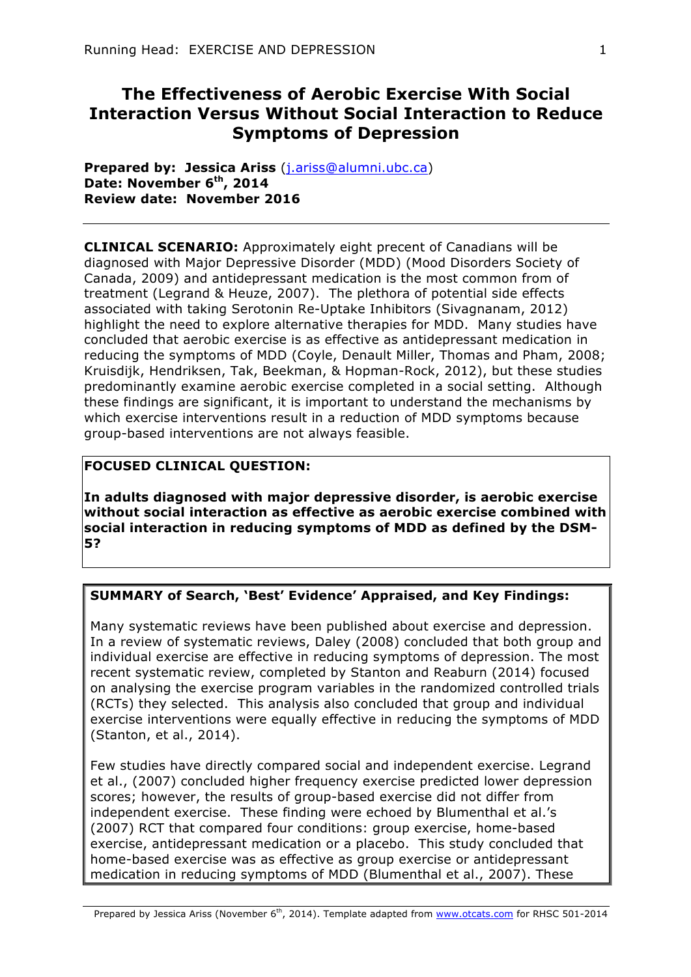# **The Effectiveness of Aerobic Exercise With Social Interaction Versus Without Social Interaction to Reduce Symptoms of Depression**

**Prepared by: Jessica Ariss** (j.ariss@alumni.ubc.ca) **Date: November 6th, 2014 Review date: November 2016**

**CLINICAL SCENARIO:** Approximately eight precent of Canadians will be diagnosed with Major Depressive Disorder (MDD) (Mood Disorders Society of Canada, 2009) and antidepressant medication is the most common from of treatment (Legrand & Heuze, 2007). The plethora of potential side effects associated with taking Serotonin Re-Uptake Inhibitors (Sivagnanam, 2012) highlight the need to explore alternative therapies for MDD. Many studies have concluded that aerobic exercise is as effective as antidepressant medication in reducing the symptoms of MDD (Coyle, Denault Miller, Thomas and Pham, 2008; Kruisdijk, Hendriksen, Tak, Beekman, & Hopman-Rock, 2012), but these studies predominantly examine aerobic exercise completed in a social setting. Although these findings are significant, it is important to understand the mechanisms by which exercise interventions result in a reduction of MDD symptoms because group-based interventions are not always feasible.

### **FOCUSED CLINICAL QUESTION:**

**In adults diagnosed with major depressive disorder, is aerobic exercise without social interaction as effective as aerobic exercise combined with social interaction in reducing symptoms of MDD as defined by the DSM-5?**

### **SUMMARY of Search, 'Best' Evidence' Appraised, and Key Findings:**

Many systematic reviews have been published about exercise and depression. In a review of systematic reviews, Daley (2008) concluded that both group and individual exercise are effective in reducing symptoms of depression. The most recent systematic review, completed by Stanton and Reaburn (2014) focused on analysing the exercise program variables in the randomized controlled trials (RCTs) they selected. This analysis also concluded that group and individual exercise interventions were equally effective in reducing the symptoms of MDD (Stanton, et al., 2014).

Few studies have directly compared social and independent exercise. Legrand et al., (2007) concluded higher frequency exercise predicted lower depression scores; however, the results of group-based exercise did not differ from independent exercise. These finding were echoed by Blumenthal et al.'s (2007) RCT that compared four conditions: group exercise, home-based exercise, antidepressant medication or a placebo. This study concluded that home-based exercise was as effective as group exercise or antidepressant medication in reducing symptoms of MDD (Blumenthal et al., 2007). These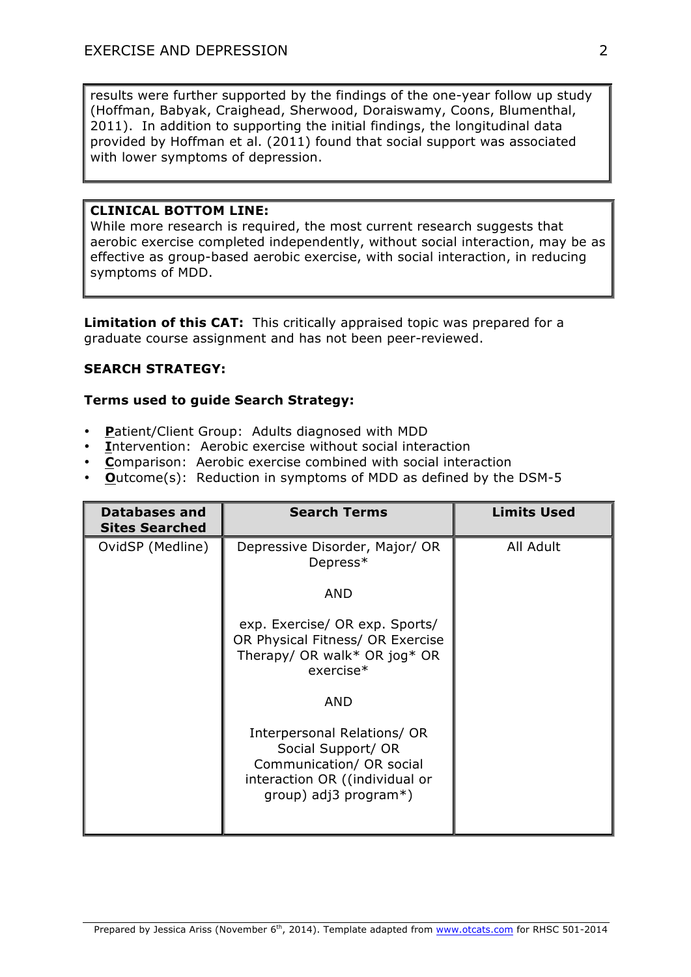results were further supported by the findings of the one-year follow up study (Hoffman, Babyak, Craighead, Sherwood, Doraiswamy, Coons, Blumenthal, 2011). In addition to supporting the initial findings, the longitudinal data provided by Hoffman et al. (2011) found that social support was associated with lower symptoms of depression.

### **CLINICAL BOTTOM LINE:**

While more research is required, the most current research suggests that aerobic exercise completed independently, without social interaction, may be as effective as group-based aerobic exercise, with social interaction, in reducing symptoms of MDD.

**Limitation of this CAT:** This critically appraised topic was prepared for a graduate course assignment and has not been peer-reviewed.

#### **SEARCH STRATEGY:**

#### **Terms used to guide Search Strategy:**

- **P**atient/Client Group: Adults diagnosed with MDD
- **I**ntervention: Aerobic exercise without social interaction
- **C**omparison: Aerobic exercise combined with social interaction
- **O**utcome(s): Reduction in symptoms of MDD as defined by the DSM-5

| <b>Databases and</b><br><b>Sites Searched</b> | <b>Search Terms</b>                                                                                                                         | <b>Limits Used</b> |
|-----------------------------------------------|---------------------------------------------------------------------------------------------------------------------------------------------|--------------------|
| OvidSP (Medline)                              | Depressive Disorder, Major/ OR<br>Depress*                                                                                                  | All Adult          |
|                                               | <b>AND</b>                                                                                                                                  |                    |
|                                               | exp. Exercise/ OR exp. Sports/<br>OR Physical Fitness/ OR Exercise<br>Therapy/ OR walk* OR jog* OR<br>$exercise*$                           |                    |
|                                               | <b>AND</b>                                                                                                                                  |                    |
|                                               | Interpersonal Relations/ OR<br>Social Support/ OR<br>Communication/ OR social<br>interaction OR ((individual or<br>group) adj3 program $*)$ |                    |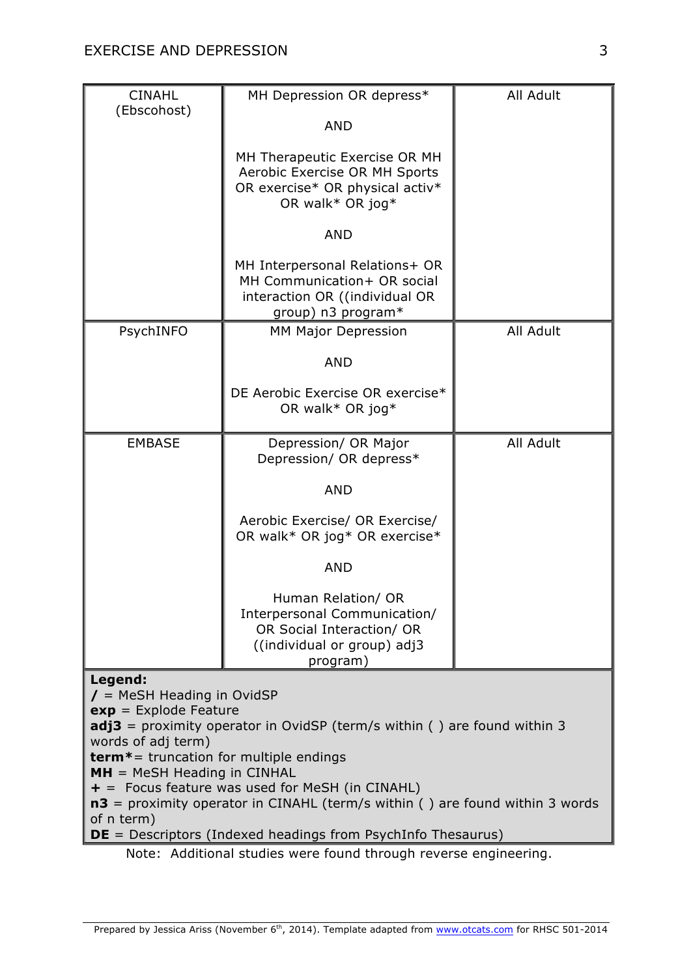| <b>CINAHL</b><br>(Ebscohost)                                                                                                                            | MH Depression OR depress*                                                                                                  | All Adult |  |  |
|---------------------------------------------------------------------------------------------------------------------------------------------------------|----------------------------------------------------------------------------------------------------------------------------|-----------|--|--|
|                                                                                                                                                         | <b>AND</b>                                                                                                                 |           |  |  |
|                                                                                                                                                         | MH Therapeutic Exercise OR MH<br>Aerobic Exercise OR MH Sports<br>OR exercise* OR physical activ*<br>OR walk* OR jog*      |           |  |  |
|                                                                                                                                                         | <b>AND</b>                                                                                                                 |           |  |  |
|                                                                                                                                                         | MH Interpersonal Relations+ OR<br>MH Communication+ OR social<br>interaction OR ((individual OR<br>group) n3 program*      |           |  |  |
| PsychINFO                                                                                                                                               | MM Major Depression                                                                                                        | All Adult |  |  |
|                                                                                                                                                         | <b>AND</b>                                                                                                                 |           |  |  |
|                                                                                                                                                         | DE Aerobic Exercise OR exercise*<br>OR walk* OR jog*                                                                       |           |  |  |
| <b>EMBASE</b>                                                                                                                                           | Depression/ OR Major<br>Depression/ OR depress*                                                                            | All Adult |  |  |
|                                                                                                                                                         | <b>AND</b>                                                                                                                 |           |  |  |
|                                                                                                                                                         | Aerobic Exercise/ OR Exercise/<br>OR walk* OR jog* OR exercise*                                                            |           |  |  |
|                                                                                                                                                         | <b>AND</b>                                                                                                                 |           |  |  |
|                                                                                                                                                         | Human Relation/ OR<br>Interpersonal Communication/<br>OR Social Interaction/ OR<br>((individual or group) adj3<br>program) |           |  |  |
| Legend:                                                                                                                                                 |                                                                                                                            |           |  |  |
| $\mathcal{I}$ = MeSH Heading in OvidSP<br>$exp = Explode Feature$<br><b>adj3</b> = proximity operator in OvidSP (term/s within $($ ) are found within 3 |                                                                                                                            |           |  |  |
| words of adj term)<br><b>term*</b> = truncation for multiple endings                                                                                    |                                                                                                                            |           |  |  |
| $MH = MeSH$ Heading in CINHAL                                                                                                                           |                                                                                                                            |           |  |  |
| $+$ = Focus feature was used for MeSH (in CINAHL)<br>$n3$ – provimity operator in CINAHI (term/s within () are found within 3 words                     |                                                                                                                            |           |  |  |

**n3** = proximity operator in CINAHL (term/s within ( ) are found within 3 words of n term)

**DE** = Descriptors (Indexed headings from PsychInfo Thesaurus)

Note: Additional studies were found through reverse engineering.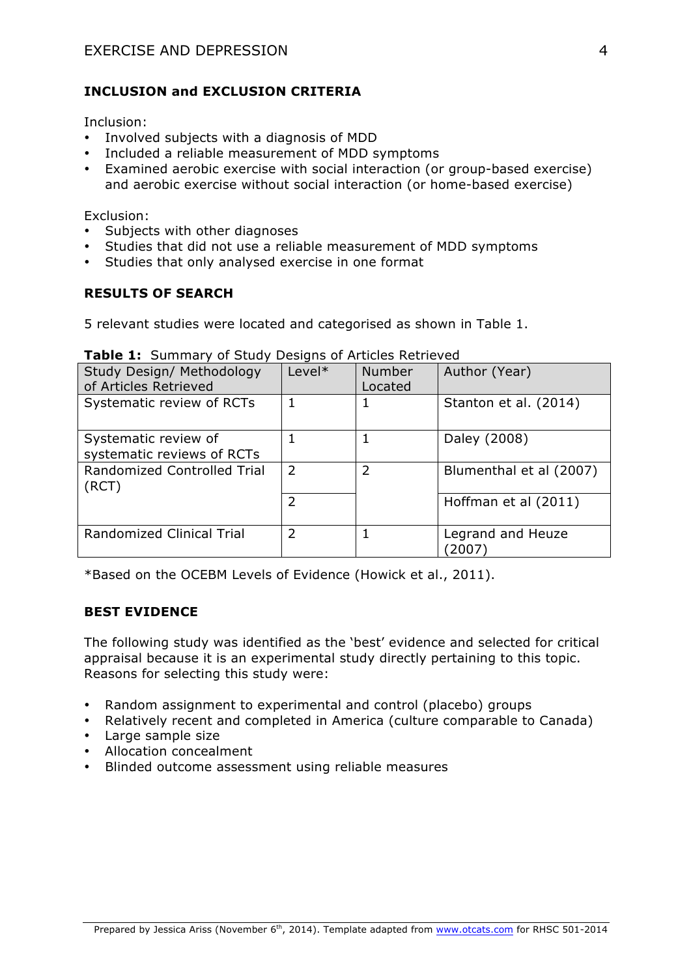# **INCLUSION and EXCLUSION CRITERIA**

Inclusion:

- Involved subjects with a diagnosis of MDD
- Included a reliable measurement of MDD symptoms
- Examined aerobic exercise with social interaction (or group-based exercise) and aerobic exercise without social interaction (or home-based exercise)

Exclusion:

- Subjects with other diagnoses
- Studies that did not use a reliable measurement of MDD symptoms
- Studies that only analysed exercise in one format

# **RESULTS OF SEARCH**

5 relevant studies were located and categorised as shown in Table 1.

| Study Design/ Methodology<br>of Articles Retrieved | Level*        | <b>Number</b><br>Located | Author (Year)             |
|----------------------------------------------------|---------------|--------------------------|---------------------------|
| Systematic review of RCTs                          |               |                          | Stanton et al. (2014)     |
| Systematic review of<br>systematic reviews of RCTs |               |                          | Daley (2008)              |
| Randomized Controlled Trial<br>(RCT)               | $\mathcal{L}$ | $\mathcal{P}$            | Blumenthal et al (2007)   |
|                                                    | 2             |                          | Hoffman et al (2011)      |
| <b>Randomized Clinical Trial</b>                   | $\mathcal{L}$ |                          | Legrand and Heuze<br>2007 |

### **Table 1:** Summary of Study Designs of Articles Retrieved

\*Based on the OCEBM Levels of Evidence (Howick et al., 2011).

### **BEST EVIDENCE**

The following study was identified as the 'best' evidence and selected for critical appraisal because it is an experimental study directly pertaining to this topic. Reasons for selecting this study were:

- Random assignment to experimental and control (placebo) groups
- Relatively recent and completed in America (culture comparable to Canada)
- Large sample size
- Allocation concealment
- Blinded outcome assessment using reliable measures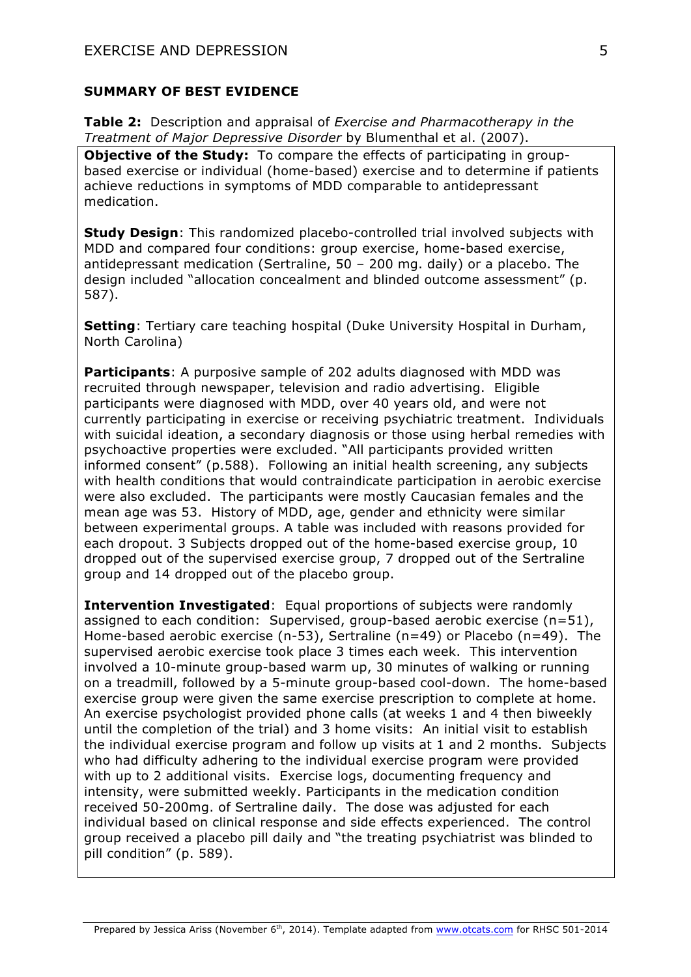#### **SUMMARY OF BEST EVIDENCE**

**Table 2:** Description and appraisal of *Exercise and Pharmacotherapy in the Treatment of Major Depressive Disorder* by Blumenthal et al. (2007).

**Objective of the Study:** To compare the effects of participating in groupbased exercise or individual (home-based) exercise and to determine if patients achieve reductions in symptoms of MDD comparable to antidepressant medication.

**Study Design**: This randomized placebo-controlled trial involved subjects with MDD and compared four conditions: group exercise, home-based exercise, antidepressant medication (Sertraline, 50 – 200 mg. daily) or a placebo. The design included "allocation concealment and blinded outcome assessment" (p. 587).

**Setting**: Tertiary care teaching hospital (Duke University Hospital in Durham, North Carolina)

**Participants**: A purposive sample of 202 adults diagnosed with MDD was recruited through newspaper, television and radio advertising. Eligible participants were diagnosed with MDD, over 40 years old, and were not currently participating in exercise or receiving psychiatric treatment. Individuals with suicidal ideation, a secondary diagnosis or those using herbal remedies with psychoactive properties were excluded. "All participants provided written informed consent" (p.588). Following an initial health screening, any subjects with health conditions that would contraindicate participation in aerobic exercise were also excluded. The participants were mostly Caucasian females and the mean age was 53. History of MDD, age, gender and ethnicity were similar between experimental groups. A table was included with reasons provided for each dropout. 3 Subjects dropped out of the home-based exercise group, 10 dropped out of the supervised exercise group, 7 dropped out of the Sertraline group and 14 dropped out of the placebo group.

**Intervention Investigated**: Equal proportions of subjects were randomly assigned to each condition: Supervised, group-based aerobic exercise (n=51), Home-based aerobic exercise (n-53), Sertraline (n=49) or Placebo (n=49). The supervised aerobic exercise took place 3 times each week. This intervention involved a 10-minute group-based warm up, 30 minutes of walking or running on a treadmill, followed by a 5-minute group-based cool-down. The home-based exercise group were given the same exercise prescription to complete at home. An exercise psychologist provided phone calls (at weeks 1 and 4 then biweekly until the completion of the trial) and 3 home visits: An initial visit to establish the individual exercise program and follow up visits at 1 and 2 months. Subjects who had difficulty adhering to the individual exercise program were provided with up to 2 additional visits. Exercise logs, documenting frequency and intensity, were submitted weekly. Participants in the medication condition received 50-200mg. of Sertraline daily. The dose was adjusted for each individual based on clinical response and side effects experienced. The control group received a placebo pill daily and "the treating psychiatrist was blinded to pill condition" (p. 589).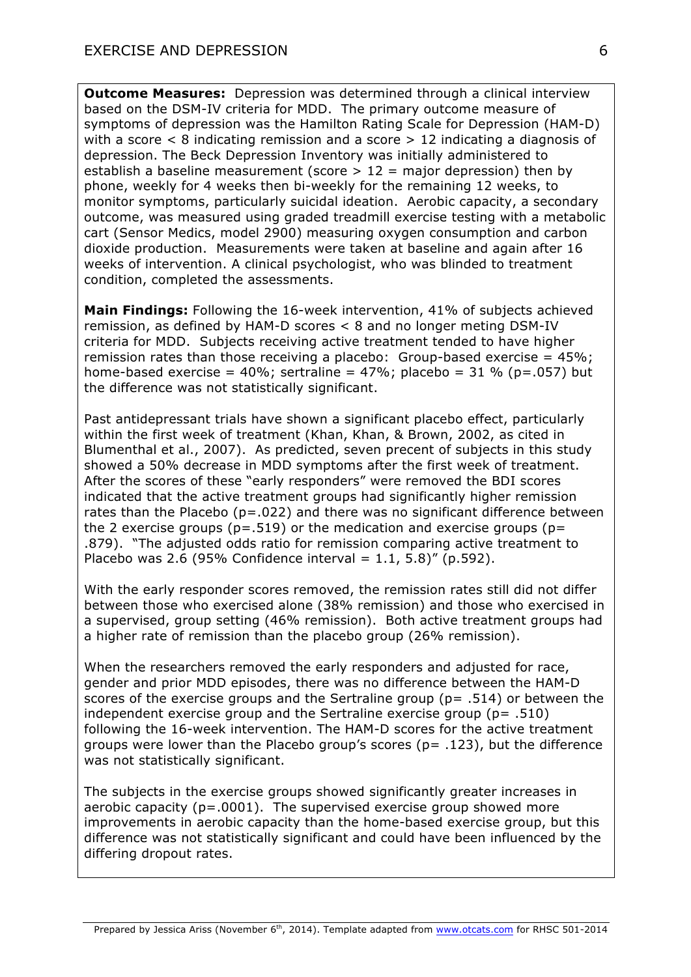**Outcome Measures:** Depression was determined through a clinical interview based on the DSM-IV criteria for MDD. The primary outcome measure of symptoms of depression was the Hamilton Rating Scale for Depression (HAM-D) with a score  $\leq 8$  indicating remission and a score  $> 12$  indicating a diagnosis of depression. The Beck Depression Inventory was initially administered to establish a baseline measurement (score  $> 12$  = major depression) then by phone, weekly for 4 weeks then bi-weekly for the remaining 12 weeks, to monitor symptoms, particularly suicidal ideation. Aerobic capacity, a secondary outcome, was measured using graded treadmill exercise testing with a metabolic cart (Sensor Medics, model 2900) measuring oxygen consumption and carbon dioxide production. Measurements were taken at baseline and again after 16 weeks of intervention. A clinical psychologist, who was blinded to treatment condition, completed the assessments.

**Main Findings:** Following the 16-week intervention, 41% of subjects achieved remission, as defined by HAM-D scores < 8 and no longer meting DSM-IV criteria for MDD. Subjects receiving active treatment tended to have higher remission rates than those receiving a placebo: Group-based exercise =  $45\%$ ; home-based exercise =  $40\%$ ; sertraline =  $47\%$ ; placebo =  $31\%$  (p=.057) but the difference was not statistically significant.

Past antidepressant trials have shown a significant placebo effect, particularly within the first week of treatment (Khan, Khan, & Brown, 2002, as cited in Blumenthal et al., 2007). As predicted, seven precent of subjects in this study showed a 50% decrease in MDD symptoms after the first week of treatment. After the scores of these "early responders" were removed the BDI scores indicated that the active treatment groups had significantly higher remission rates than the Placebo ( $p = .022$ ) and there was no significant difference between the 2 exercise groups ( $p = .519$ ) or the medication and exercise groups ( $p =$ .879). "The adjusted odds ratio for remission comparing active treatment to Placebo was 2.6 (95% Confidence interval =  $1.1, 5.8$ )" (p.592).

With the early responder scores removed, the remission rates still did not differ between those who exercised alone (38% remission) and those who exercised in a supervised, group setting (46% remission). Both active treatment groups had a higher rate of remission than the placebo group (26% remission).

When the researchers removed the early responders and adjusted for race, gender and prior MDD episodes, there was no difference between the HAM-D scores of the exercise groups and the Sertraline group ( $p = .514$ ) or between the independent exercise group and the Sertraline exercise group ( $p = .510$ ) following the 16-week intervention. The HAM-D scores for the active treatment groups were lower than the Placebo group's scores ( $p = .123$ ), but the difference was not statistically significant.

The subjects in the exercise groups showed significantly greater increases in aerobic capacity ( $p = .0001$ ). The supervised exercise group showed more improvements in aerobic capacity than the home-based exercise group, but this difference was not statistically significant and could have been influenced by the differing dropout rates.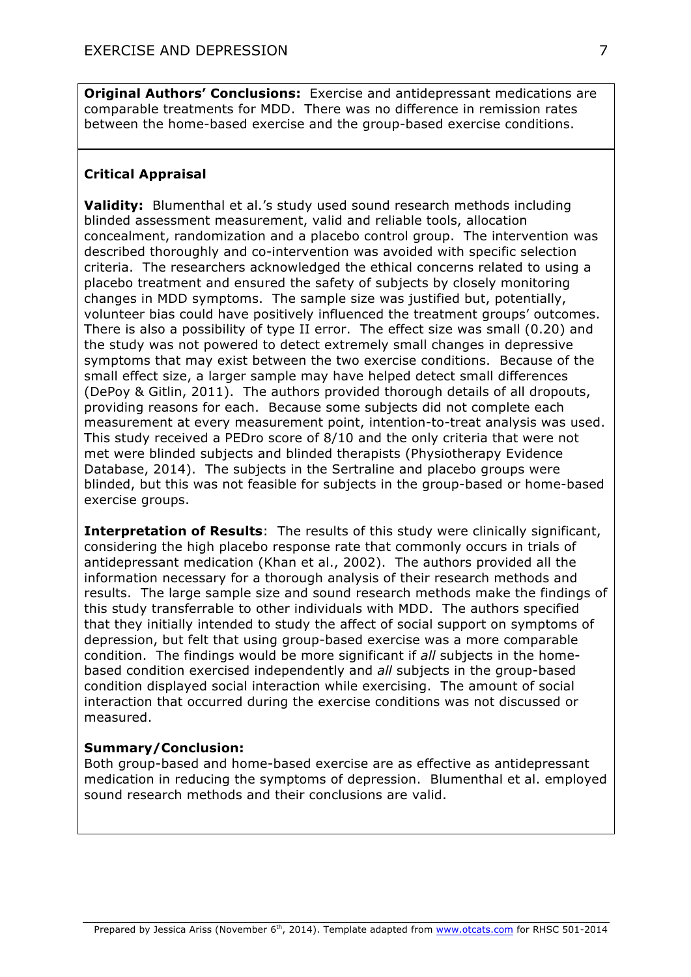**Original Authors' Conclusions:** Exercise and antidepressant medications are comparable treatments for MDD. There was no difference in remission rates between the home-based exercise and the group-based exercise conditions.

# **Critical Appraisal**

**Validity:** Blumenthal et al.'s study used sound research methods including blinded assessment measurement, valid and reliable tools, allocation concealment, randomization and a placebo control group. The intervention was described thoroughly and co-intervention was avoided with specific selection criteria. The researchers acknowledged the ethical concerns related to using a placebo treatment and ensured the safety of subjects by closely monitoring changes in MDD symptoms. The sample size was justified but, potentially, volunteer bias could have positively influenced the treatment groups' outcomes. There is also a possibility of type II error. The effect size was small (0.20) and the study was not powered to detect extremely small changes in depressive symptoms that may exist between the two exercise conditions. Because of the small effect size, a larger sample may have helped detect small differences (DePoy & Gitlin, 2011). The authors provided thorough details of all dropouts, providing reasons for each. Because some subjects did not complete each measurement at every measurement point, intention-to-treat analysis was used. This study received a PEDro score of 8/10 and the only criteria that were not met were blinded subjects and blinded therapists (Physiotherapy Evidence Database, 2014). The subjects in the Sertraline and placebo groups were blinded, but this was not feasible for subjects in the group-based or home-based exercise groups.

**Interpretation of Results**: The results of this study were clinically significant, considering the high placebo response rate that commonly occurs in trials of antidepressant medication (Khan et al., 2002). The authors provided all the information necessary for a thorough analysis of their research methods and results. The large sample size and sound research methods make the findings of this study transferrable to other individuals with MDD. The authors specified that they initially intended to study the affect of social support on symptoms of depression, but felt that using group-based exercise was a more comparable condition. The findings would be more significant if *all* subjects in the homebased condition exercised independently and *all* subjects in the group-based condition displayed social interaction while exercising. The amount of social interaction that occurred during the exercise conditions was not discussed or measured.

### **Summary/Conclusion:**

Both group-based and home-based exercise are as effective as antidepressant medication in reducing the symptoms of depression. Blumenthal et al. employed sound research methods and their conclusions are valid.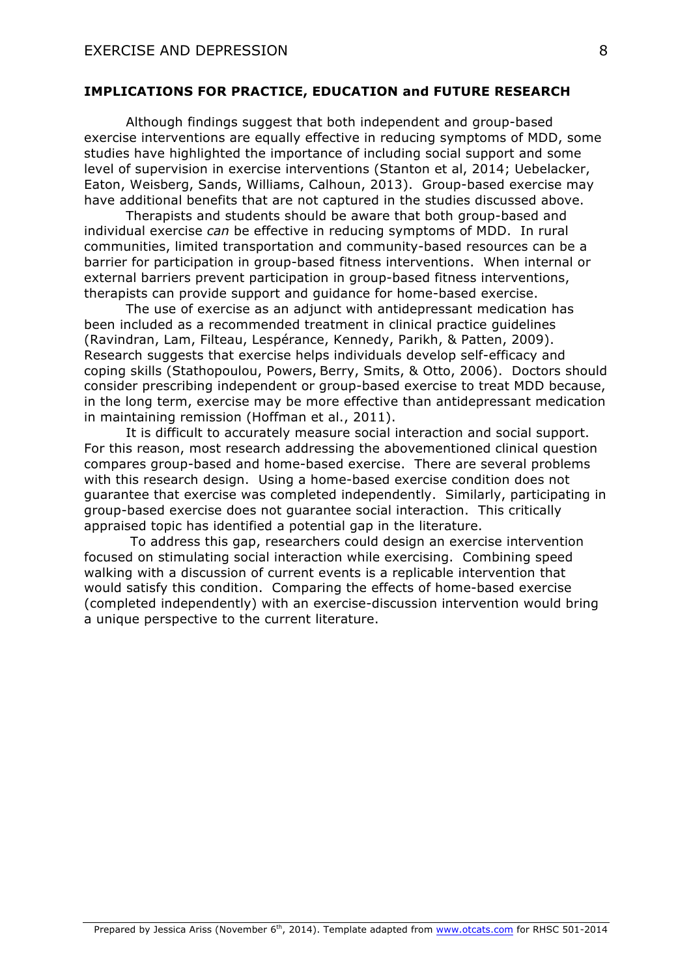#### **IMPLICATIONS FOR PRACTICE, EDUCATION and FUTURE RESEARCH**

Although findings suggest that both independent and group-based exercise interventions are equally effective in reducing symptoms of MDD, some studies have highlighted the importance of including social support and some level of supervision in exercise interventions (Stanton et al, 2014; Uebelacker, Eaton, Weisberg, Sands, Williams, Calhoun, 2013). Group-based exercise may have additional benefits that are not captured in the studies discussed above.

Therapists and students should be aware that both group-based and individual exercise *can* be effective in reducing symptoms of MDD. In rural communities, limited transportation and community-based resources can be a barrier for participation in group-based fitness interventions. When internal or external barriers prevent participation in group-based fitness interventions, therapists can provide support and guidance for home-based exercise.

The use of exercise as an adjunct with antidepressant medication has been included as a recommended treatment in clinical practice guidelines (Ravindran, Lam, Filteau, Lespérance, Kennedy, Parikh, & Patten, 2009). Research suggests that exercise helps individuals develop self-efficacy and coping skills (Stathopoulou, Powers, Berry, Smits, & Otto, 2006). Doctors should consider prescribing independent or group-based exercise to treat MDD because, in the long term, exercise may be more effective than antidepressant medication in maintaining remission (Hoffman et al., 2011).

It is difficult to accurately measure social interaction and social support. For this reason, most research addressing the abovementioned clinical question compares group-based and home-based exercise. There are several problems with this research design. Using a home-based exercise condition does not guarantee that exercise was completed independently. Similarly, participating in group-based exercise does not guarantee social interaction. This critically appraised topic has identified a potential gap in the literature.

To address this gap, researchers could design an exercise intervention focused on stimulating social interaction while exercising. Combining speed walking with a discussion of current events is a replicable intervention that would satisfy this condition. Comparing the effects of home-based exercise (completed independently) with an exercise-discussion intervention would bring a unique perspective to the current literature.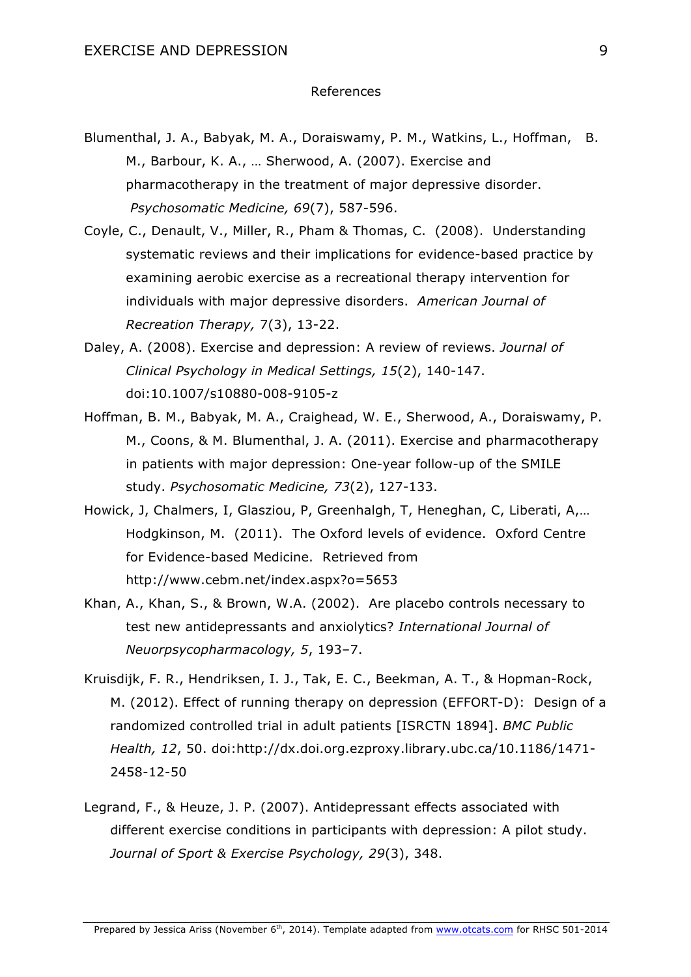#### References

- Blumenthal, J. A., Babyak, M. A., Doraiswamy, P. M., Watkins, L., Hoffman, B. M., Barbour, K. A., … Sherwood, A. (2007). Exercise and pharmacotherapy in the treatment of major depressive disorder. *Psychosomatic Medicine, 69*(7), 587-596.
- Coyle, C., Denault, V., Miller, R., Pham & Thomas, C. (2008). Understanding systematic reviews and their implications for evidence-based practice by examining aerobic exercise as a recreational therapy intervention for individuals with major depressive disorders. *American Journal of Recreation Therapy,* 7(3), 13-22.
- Daley, A. (2008). Exercise and depression: A review of reviews. *Journal of Clinical Psychology in Medical Settings, 15*(2), 140-147. doi:10.1007/s10880-008-9105-z
- Hoffman, B. M., Babyak, M. A., Craighead, W. E., Sherwood, A., Doraiswamy, P. M., Coons, & M. Blumenthal, J. A. (2011). Exercise and pharmacotherapy in patients with major depression: One-year follow-up of the SMILE study. *Psychosomatic Medicine, 73*(2), 127-133.
- Howick, J, Chalmers, I, Glasziou, P, Greenhalgh, T, Heneghan, C, Liberati, A,… Hodgkinson, M. (2011). The Oxford levels of evidence. Oxford Centre for Evidence-based Medicine. Retrieved from http://www.cebm.net/index.aspx?o=5653
- Khan, A., Khan, S., & Brown, W.A. (2002). Are placebo controls necessary to test new antidepressants and anxiolytics? *International Journal of Neuorpsycopharmacology, 5*, 193–7.
- Kruisdijk, F. R., Hendriksen, I. J., Tak, E. C., Beekman, A. T., & Hopman-Rock, M. (2012). Effect of running therapy on depression (EFFORT-D): Design of a randomized controlled trial in adult patients [ISRCTN 1894]. *BMC Public Health, 12*, 50. doi:http://dx.doi.org.ezproxy.library.ubc.ca/10.1186/1471- 2458-12-50
- Legrand, F., & Heuze, J. P. (2007). Antidepressant effects associated with different exercise conditions in participants with depression: A pilot study. *Journal of Sport & Exercise Psychology, 29*(3), 348.